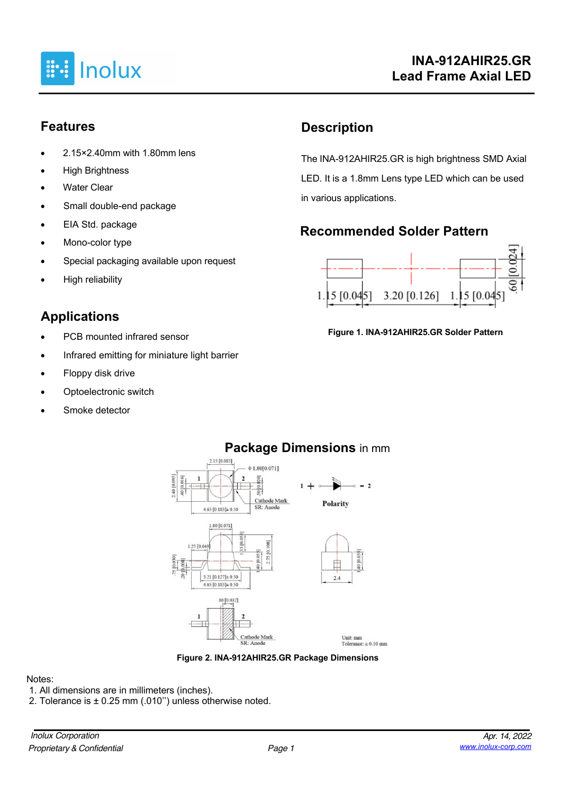

#### **Features**

- 2.15×2.40mm with 1.80mm lens
- **High Brightness**
- **Water Clear**
- Small double-end package
- EIA Std. package
- Mono-color type
- Special packaging available upon request
- High reliability

## **Applications**

- PCB mounted infrared sensor
- Infrared emitting for miniature light barrier
- Floppy disk drive
- Optoelectronic switch
- Smoke detector

## **Description**

The INA-912AHIR25.GR is high brightness SMD Axial LED. It is a 1.8mm Lens type LED which can be used in various applications.

## **Recommended Solder Pattern**



#### **Figure 1. INA-912AHIR25.GR Solder Pattern**





#### Notes:

- 1. All dimensions are in millimeters (inches).
- 2. Tolerance is ± 0.25 mm (.010'') unless otherwise noted.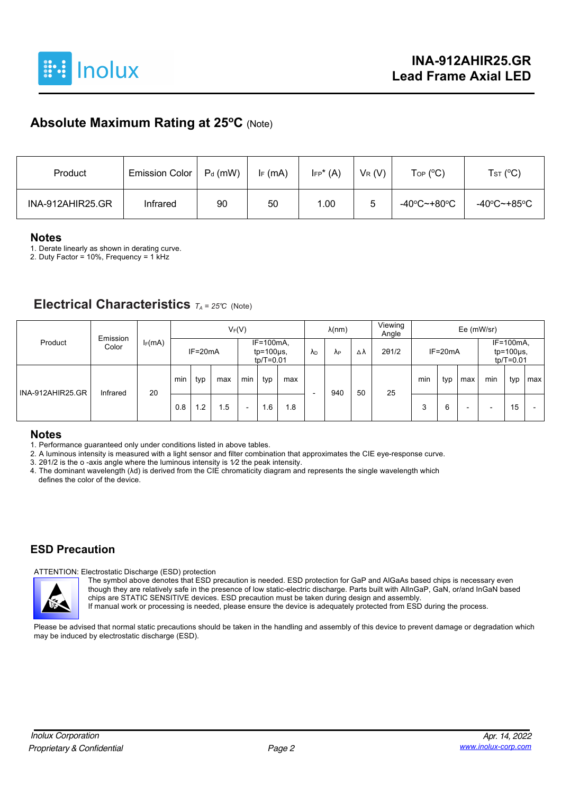

### **Absolute Maximum Rating at 25oC** (Note)

| Product          | Emission Color | $P_d$ (mW) | $I_F$ (mA) | $I_{FP}^*(A)$ | $V_R(V)$ | $\mathsf{Top}$ (°C)              | T <sub>ST</sub> (°C) |
|------------------|----------------|------------|------------|---------------|----------|----------------------------------|----------------------|
| INA-912AHIR25.GR | Infrared       | 90         | 50         | 1.00          | ວ        | $-40^{\circ}$ C $-+80^{\circ}$ C | -40°C~+85°C          |

#### **Notes**

1. Derate linearly as shown in derating curve.

2. Duty Factor = 10%, Frequency = 1  $K$ Hz

#### **Electrical Characteristics** *TA <sup>=</sup> 25°C* (Note)

| Product          | Emission<br>Color | $I_F(mA)$ | $V_F(V)$  |                |                                              |                          | $\lambda$ (nm) |           | Viewing<br>Angle | Ee (mW/sr)    |    |             |     |     |                                             |     |     |     |
|------------------|-------------------|-----------|-----------|----------------|----------------------------------------------|--------------------------|----------------|-----------|------------------|---------------|----|-------------|-----|-----|---------------------------------------------|-----|-----|-----|
|                  |                   |           | $IF=20mA$ |                | $IF=100mA$<br>$tp=100\mu s$<br>$tp/T = 0.01$ |                          | ΛD             | <b>AP</b> | Δλ               | $2\theta$ 1/2 |    | $IF = 20mA$ |     |     | IF=100mA,<br>$tp=100\mu s$ ,<br>$tp/T=0.01$ |     |     |     |
| INA-912AHIR25.GR | Infrared          | 20        | min       | typ            | max                                          | min                      | typ            | max       | -                | 940           | 50 | 25          | min | typ | max                                         | min | typ | max |
|                  |                   |           | 0.8       | $\overline{2}$ | 1.5                                          | $\overline{\phantom{0}}$ | . 6            | 1.8       |                  |               |    |             | 3   | 6   | -                                           | -   | 15  |     |

#### **Notes**

1. Performance guaranteed only under conditions listed in above tables.

2. A luminous intensity is measured with a light sensor and filter combination that approximates the CIE eye-response curve.

3. 2θ1/2 is the o -axis angle where the luminous intensity is 1⁄2 the peak intensity.

4. The dominant wavelength (λd) is derived from the CIE chromaticity diagram and represents the single wavelength which defines the color of the device.

#### **ESD Precaution**

#### ATTENTION: Electrostatic Discharge (ESD) protection



The symbol above denotes that ESD precaution is needed. ESD protection for GaP and AlGaAs based chips is necessary even though they are relatively safe in the presence of low static-electric discharge. Parts built with AlInGaP, GaN, or/and InGaN based chips are STATIC SENSITIVE devices. ESD precaution must be taken during design and assembly.

If manual work or processing is needed, please ensure the device is adequately protected from ESD during the process.

Please be advised that normal static precautions should be taken in the handling and assembly of this device to prevent damage or degradation which may be induced by electrostatic discharge (ESD).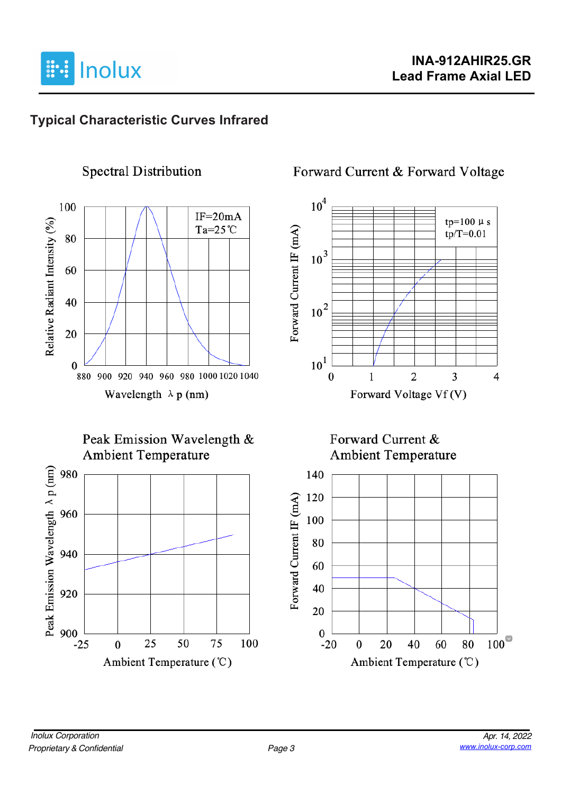

## **Typical Characteristic Curves Infrared**



#### **Spectral Distribution**





## Forward Current & Forward Voltage



#### Forward Current & **Ambient Temperature**

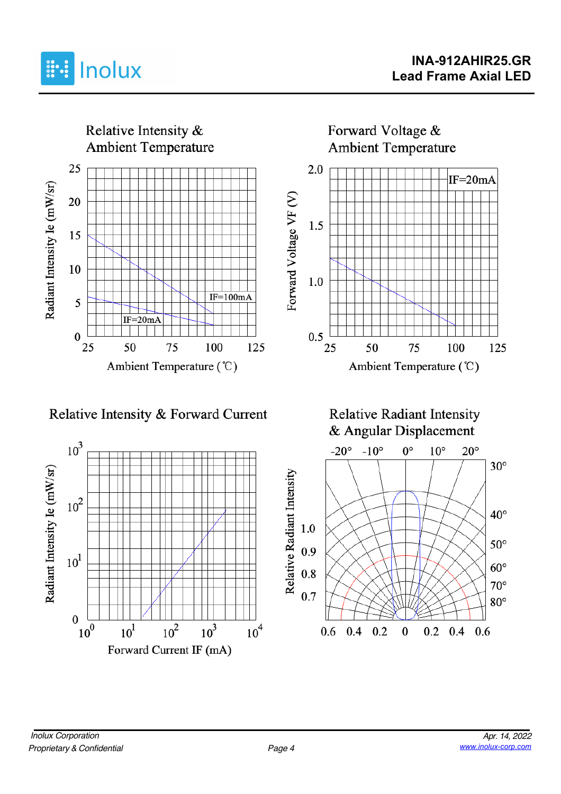



Relative Intensity & Forward Current



**Relative Radiant Intensity** & Angular Displacement

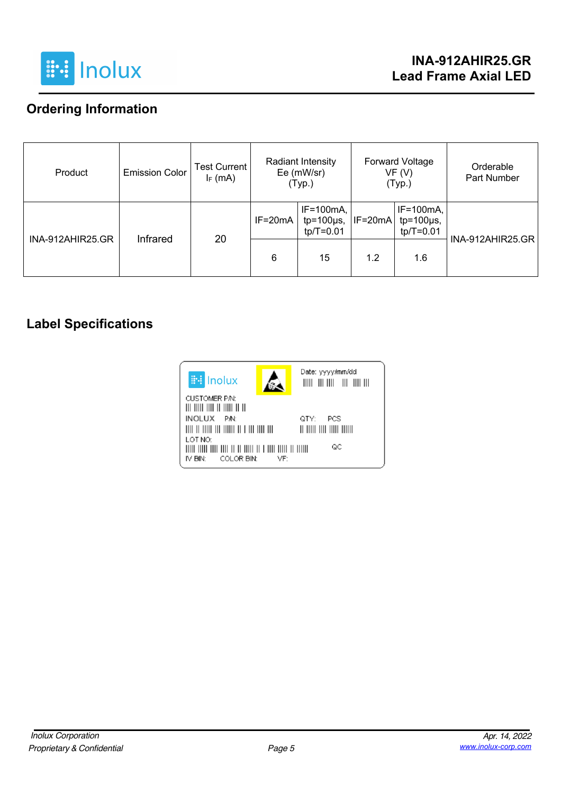

## **Ordering Information**

| Product          | <b>Emission Color</b> | <b>Test Current</b><br>$I_F$ (mA) | Radiant Intensity<br>Ee (mW/sr)<br>(Typ.) |                                               |           | Forward Voltage<br>VF (V)<br>(Typ.)            | Orderable<br>Part Number |
|------------------|-----------------------|-----------------------------------|-------------------------------------------|-----------------------------------------------|-----------|------------------------------------------------|--------------------------|
| INA-912AHIR25.GR |                       |                                   | $IF=20mA$                                 | $IF=100mA,$<br>$tp=100\mu s$ ,<br>$tp/T=0.01$ | $IF=20mA$ | $IF=100mA$ ,<br>$tp=100\mu s$ ,<br>$tp/T=0.01$ | <b>INA-912AHIR25.GR</b>  |
|                  | Infrared              | 20                                | 6                                         | 15                                            | 1.2       | 1.6                                            |                          |

### **Label Specifications**

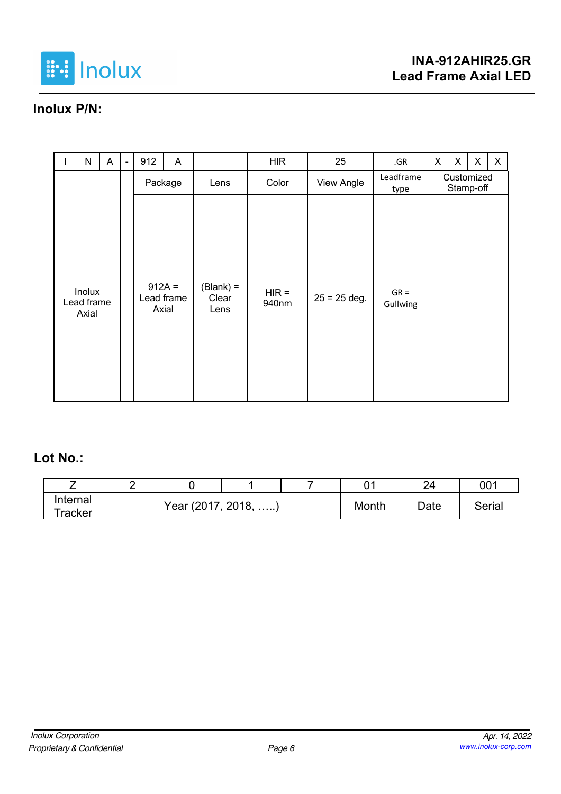

# **Inolux P/N:**

|  | N                             | $\mathsf{A}$ | $\overline{a}$ | 912     | A                               |                              | <b>HIR</b>       | 25                | .GR                     | X | X | $\pmb{\times}$ | $\mathsf{X}$ |
|--|-------------------------------|--------------|----------------|---------|---------------------------------|------------------------------|------------------|-------------------|-------------------------|---|---|----------------|--------------|
|  |                               |              |                | Package | Lens                            | Color                        | View Angle       | Leadframe<br>type | Customized<br>Stamp-off |   |   |                |              |
|  | Inolux<br>Lead frame<br>Axial |              |                |         | $912A =$<br>Lead frame<br>Axial | $(Blank) =$<br>Clear<br>Lens | $HIR =$<br>940nm | $25 = 25$ deg.    | $GR =$<br>Gullwing      |   |   |                |              |

#### **Lot No.:**

|                     | - |                     |       |      | ົາ     | 001 |
|---------------------|---|---------------------|-------|------|--------|-----|
| Internal            |   | Year (2017, 2018, ) |       |      | Serial |     |
| <sup>-</sup> racker |   |                     | Month | Date |        |     |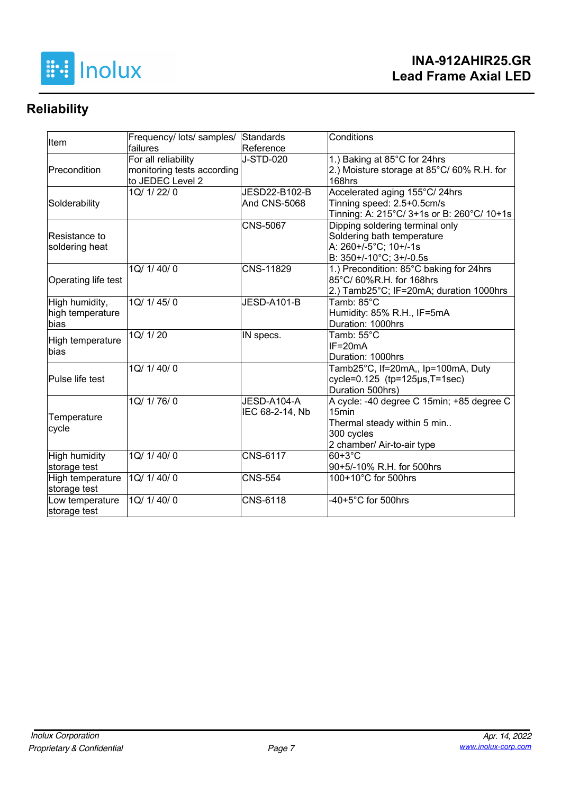

# **Reliability**

| Item                | Frequency/ lots/ samples/ Standards |                  | Conditions                                   |  |  |  |  |
|---------------------|-------------------------------------|------------------|----------------------------------------------|--|--|--|--|
|                     | failures                            | Reference        |                                              |  |  |  |  |
|                     | For all reliability                 | <b>J-STD-020</b> | 1.) Baking at 85°C for 24hrs                 |  |  |  |  |
| Precondition        | monitoring tests according          |                  | 2.) Moisture storage at 85°C/60% R.H. for    |  |  |  |  |
|                     | to JEDEC Level 2                    |                  | 168hrs                                       |  |  |  |  |
|                     | 1Q/ 1/ 22/ 0                        | JESD22-B102-B    | Accelerated aging 155°C/24hrs                |  |  |  |  |
| Solderability       |                                     | And CNS-5068     | Tinning speed: 2.5+0.5cm/s                   |  |  |  |  |
|                     |                                     |                  | Tinning: A: 215°C/ 3+1s or B: 260°C/ 10+1s   |  |  |  |  |
|                     |                                     | <b>CNS-5067</b>  | Dipping soldering terminal only              |  |  |  |  |
| Resistance to       |                                     |                  | Soldering bath temperature                   |  |  |  |  |
| soldering heat      |                                     |                  | A: 260+/-5°C; 10+/-1s                        |  |  |  |  |
|                     |                                     |                  | B: 350+/-10°C; 3+/-0.5s                      |  |  |  |  |
|                     | 1Q/ 1/ 40/ 0                        | CNS-11829        | 1.) Precondition: 85°C baking for 24hrs      |  |  |  |  |
| Operating life test |                                     |                  | 85°C/60%R.H. for 168hrs                      |  |  |  |  |
|                     |                                     |                  | 2.) Tamb25°C; IF=20mA; duration 1000hrs      |  |  |  |  |
| High humidity,      | 1Q/1/45/0                           | JESD-A101-B      | Tamb: 85°C                                   |  |  |  |  |
| high temperature    |                                     |                  | Humidity: 85% R.H., IF=5mA                   |  |  |  |  |
| bias                |                                     |                  | Duration: 1000hrs                            |  |  |  |  |
| High temperature    | 1Q/1/20                             | IN specs.        | Tamb: 55°C                                   |  |  |  |  |
| bias                |                                     |                  | $IF = 20mA$                                  |  |  |  |  |
|                     |                                     |                  | Duration: 1000hrs                            |  |  |  |  |
|                     | 1Q/ 1/ 40/ 0                        |                  | Tamb25°C, If=20mA,, Ip=100mA, Duty           |  |  |  |  |
| Pulse life test     |                                     |                  | cycle= $0.125$ (tp= $125\mu s$ , T= $1sec$ ) |  |  |  |  |
|                     |                                     |                  | Duration 500hrs)                             |  |  |  |  |
|                     | 1Q/ 1/ 76/ 0                        | JESD-A104-A      | A cycle: -40 degree C 15min; +85 degree C    |  |  |  |  |
| Temperature         |                                     | IEC 68-2-14, Nb  | 15 <sub>min</sub>                            |  |  |  |  |
| cycle               |                                     |                  | Thermal steady within 5 min                  |  |  |  |  |
|                     |                                     |                  | 300 cycles                                   |  |  |  |  |
|                     |                                     |                  | 2 chamber/ Air-to-air type                   |  |  |  |  |
| High humidity       | 1Q/ 1/ 40/ 0                        | <b>CNS-6117</b>  | 60+3°C                                       |  |  |  |  |
| storage test        |                                     |                  | 90+5/-10% R.H. for 500hrs                    |  |  |  |  |
| High temperature    | 1Q/ 1/ 40/ 0                        | <b>CNS-554</b>   | 100+10°C for 500hrs                          |  |  |  |  |
| storage test        |                                     |                  |                                              |  |  |  |  |
| Low temperature     | 1Q/1/40/0                           | <b>CNS-6118</b>  | $-40+5^{\circ}$ C for 500hrs                 |  |  |  |  |
| storage test        |                                     |                  |                                              |  |  |  |  |